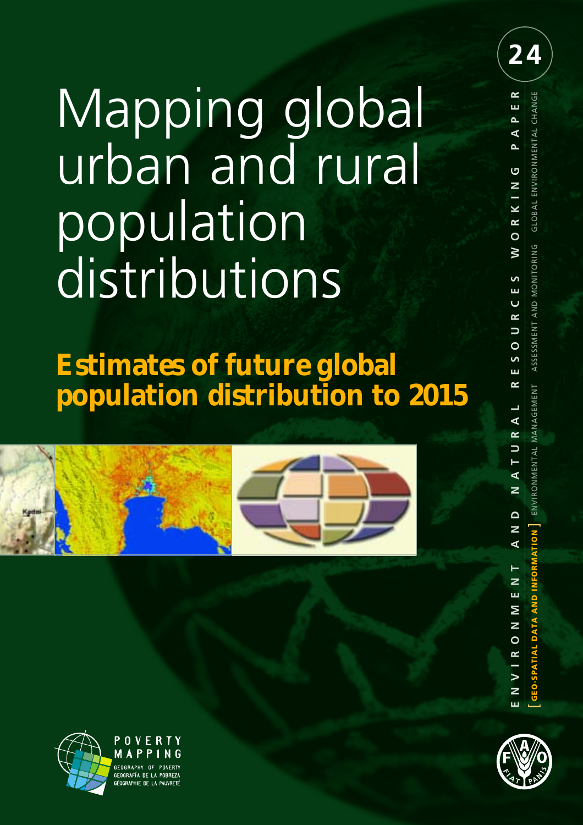# Mapping global urban and rural population distributions

## **Estimates of future global population distribution to 2015**





ENVIRONMENTAL MANAGEMENT

**24**

GLOBAL ENVIRONMENTAL CHANGE

ASSESSMENT AND MONITORING





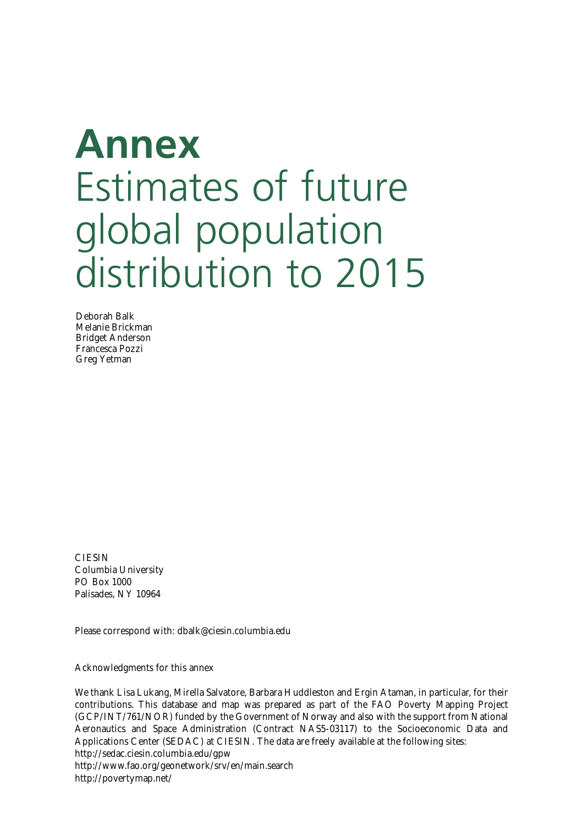## **Annex** Estimates of future global population distribution to 2015

Deborah Balk Melanie Brickman Bridget Anderson Francesca Pozzi Greg Yetman

**CIESIN** Columbia University PO Box 1000 Palisades, NY 10964

Please correspond with: dbalk@ciesin.columbia.edu

Acknowledgments for this annex

We thank Lisa Lukang, Mirella Salvatore, Barbara Huddleston and Ergin Ataman, in particular, for their contributions. This database and map was prepared as part of the FAO Poverty Mapping Project (GCP/INT/761/NOR) funded by the Government of Norway and also with the support from National Aeronautics and Space Administration (Contract NAS5-03117) to the Socioeconomic Data and Applications Center (SEDAC) at CIESIN. The data are freely available at the following sites: http://sedac.ciesin.columbia.edu/gpw

http://www.fao.org/geonetwork/srv/en/main.search http://povertymap.net/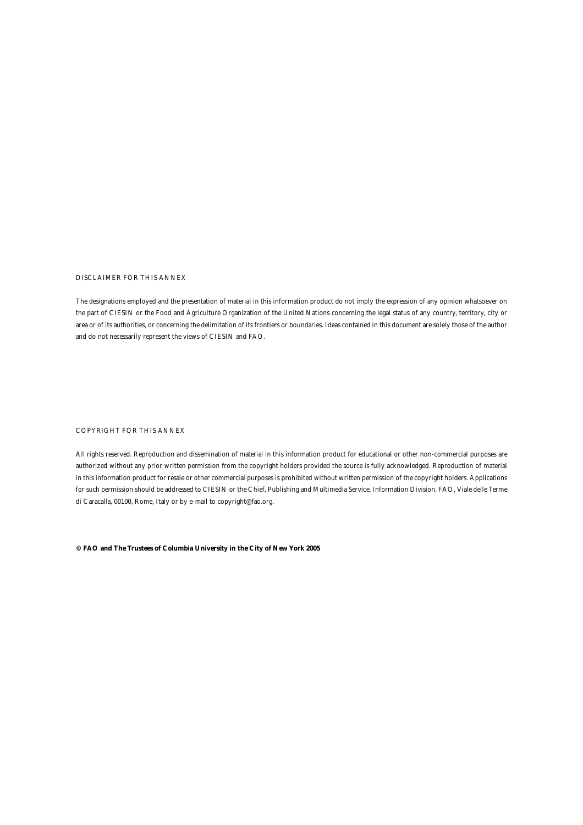#### DISCLAIMER FOR THIS ANNEX

The designations employed and the presentation of material in this information product do not imply the expression of any opinion whatsoever on the part of CIESIN or the Food and Agriculture Organization of the United Nations concerning the legal status of any country, territory, city or area or of its authorities, or concerning the delimitation of its frontiers or boundaries. Ideas contained in this document are solely those of the author and do not necessarily represent the views of CIESIN and FAO.

#### COPYRIGHT FOR THIS ANNEX

All rights reserved. Reproduction and dissemination of material in this information product for educational or other non-commercial purposes are authorized without any prior written permission from the copyright holders provided the source is fully acknowledged. Reproduction of material in this information product for resale or other commercial purposes is prohibited without written permission of the copyright holders. Applications for such permission should be addressed to CIESIN or the Chief, Publishing and Multimedia Service, Information Division, FAO, Viale delle Terme di Caracalla, 00100, Rome, Italy or by e-mail to copyright@fao.org.

**© FAO and The Trustees of Columbia University in the City of New York 2005**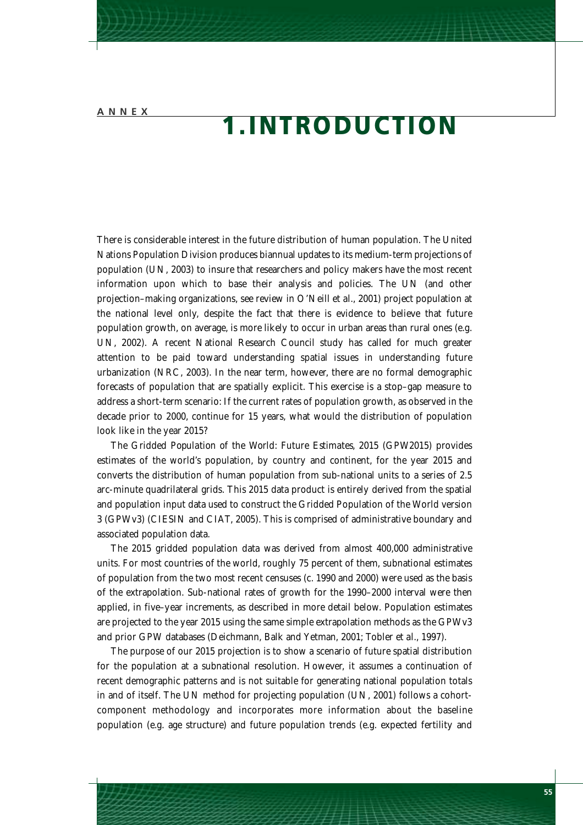## **1.INTRODUCTION**

There is considerable interest in the future distribution of human population. The United Nations Population Division produces biannual updates to its medium-term projections of population (UN, 2003) to insure that researchers and policy makers have the most recent information upon which to base their analysis and policies. The UN (and other projection–making organizations, see review in O'Neill *et al.*, 2001) project population at the national level only, despite the fact that there is evidence to believe that future population growth, on average, is more likely to occur in urban areas than rural ones (e.g. UN, 2002). A recent National Research Council study has called for much greater attention to be paid toward understanding spatial issues in understanding future urbanization (NRC, 2003). In the near term, however, there are no formal demographic forecasts of population that are spatially explicit. This exercise is a stop–gap measure to address a short-term scenario: If the current rates of population growth, as observed in the decade prior to 2000, continue for 15 years, what would the distribution of population look like in the year 2015?

The *Gridded Population of the World: Future Estimates, 2015 (GPW2015)* provides estimates of the world's population, by country and continent, for the year 2015 and converts the distribution of human population from sub-national units to a series of 2.5 arc-minute quadrilateral grids. This 2015 data product is entirely derived from the spatial and population input data used to construct the Gridded Population of the World version 3 (GPWv3) (CIESIN and CIAT, 2005). This is comprised of administrative boundary and associated population data.

The 2015 gridded population data was derived from almost 400,000 administrative units. For most countries of the world, roughly 75 percent of them, subnational estimates of population from the two most recent censuses (c. 1990 and 2000) were used as the basis of the extrapolation. Sub-national rates of growth for the 1990–2000 interval were then applied, in five–year increments, as described in more detail below. Population estimates are projected to the year 2015 using the same simple extrapolation methods as the GPWv3 and prior GPW databases (Deichmann, Balk and Yetman, 2001; Tobler *et al.*, 1997).

The purpose of our 2015 projection is to show a scenario of future spatial distribution for the population at a subnational resolution. However, it assumes a continuation of recent demographic patterns and is not suitable for generating national population totals in and of itself. The UN method for projecting population (UN, 2001) follows a cohortcomponent methodology and incorporates more information about the baseline population (e.g. age structure) and future population trends (e.g. expected fertility and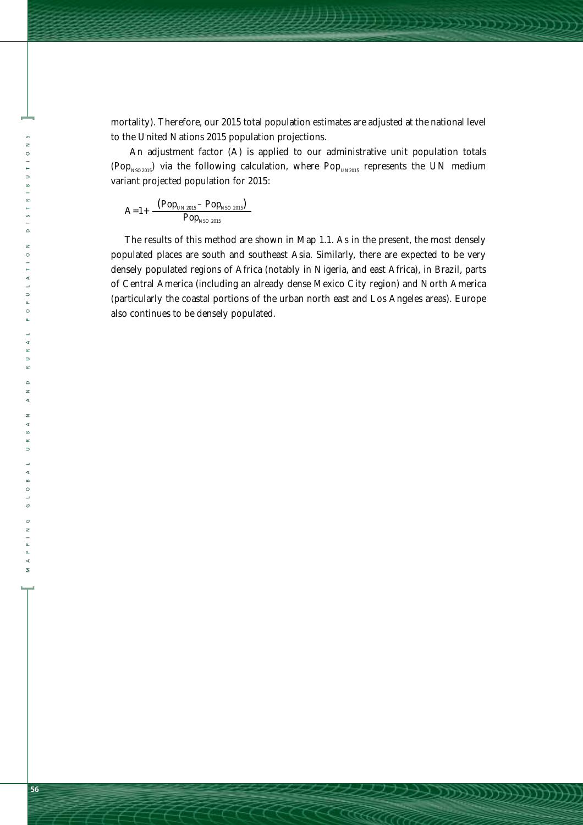mortality). Therefore, our 2015 total population estimates are adjusted at the national level to the United Nations 2015 population projections.

Hillingered

An adjustment factor (A) is applied to our administrative unit population totals (Pop<sub>NSO2015</sub>) via the following calculation, where Pop<sub>UN2015</sub> represents the UN medium variant projected population for 2015:

$$
A=1+\frac{(Pop_{\rm UN\,2015}-Pop_{\rm NSO\,2015})}{Pop_{\rm NSO\,2015}}
$$

The results of this method are shown in Map 1.1. As in the present, the most densely populated places are south and southeast Asia. Similarly, there are expected to be very densely populated regions of Africa (notably in Nigeria, and east Africa), in Brazil, parts of Central America (including an already dense Mexico City region) and North America (particularly the coastal portions of the urban north east and Los Angeles areas). Europe also continues to be densely populated.

**]**

 $\circ$ 

 $\Rightarrow$  $\frac{8}{1}$ 

 $\frac{5}{2}$  $\overline{\phantom{a}}$  $\overline{z}$  $\circ$ i.  $\triangleleft$  $\overline{a}$  $\overline{a}$  $\circ$  $\overline{a}$  $\triangleleft$  $\alpha$  $\Rightarrow$  $\alpha$  $\overline{a}$ z  $\triangleleft$  $\overline{z}$  $\triangleleft$  $\overline{a}$  $\frac{1}{2}$ 

MAPPING GLOBAL URBAN AND RURAL POPULATION DISTRIBUTIONS **[ MAPPING GLOBAL URBAN AND RURAL POPULATION DISTRIBUTIONS** 

 $\triangleleft$  $\bullet$  $\circ$  $\circ$  $\circ$  $\frac{2}{1}$ 

 $\mathsf{\Sigma}$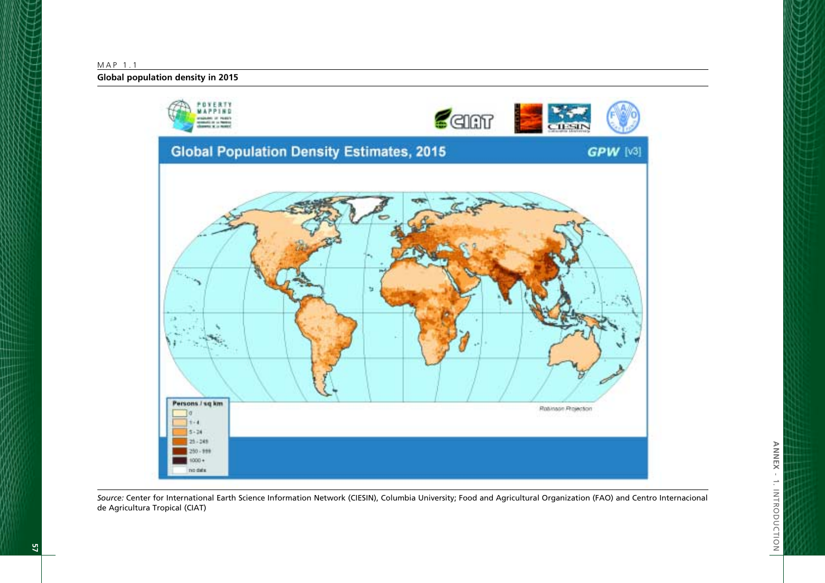MAP 1.1

**Global population density in 2015**



*Source:* Center for International Earth Science Information Network (CIESIN), Columbia University; Food and Agricultural Organization (FAO) and Centro Internacional de Agricultura Tropical (CIAT)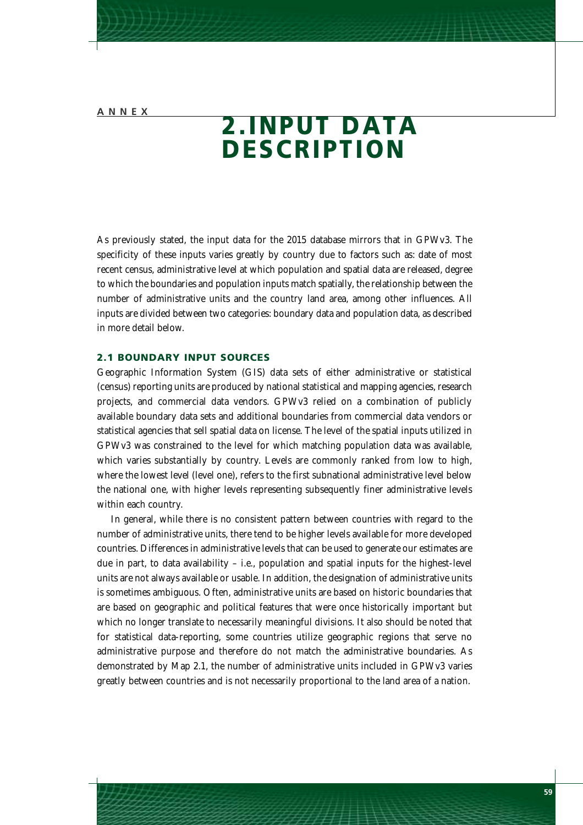## **2.INPUT DATA DESCRIPTION**

As previously stated, the input data for the 2015 database mirrors that in GPWv3. The specificity of these inputs varies greatly by country due to factors such as: date of most recent census, administrative level at which population and spatial data are released, degree to which the boundaries and population inputs match spatially, the relationship between the number of administrative units and the country land area, among other influences. All inputs are divided between two categories: boundary data and population data, as described in more detail below.

#### **2.1 BOUNDARY INPUT SOURCES**

Geographic Information System (GIS) data sets of either administrative or statistical (census) reporting units are produced by national statistical and mapping agencies, research projects, and commercial data vendors. GPWv3 relied on a combination of publicly available boundary data sets and additional boundaries from commercial data vendors or statistical agencies that sell spatial data on license. The level of the spatial inputs utilized in GPWv3 was constrained to the level for which matching population data was available, which varies substantially by country. Levels are commonly ranked from low to high, where the lowest level (level one), refers to the first subnational administrative level below the national one, with higher levels representing subsequently finer administrative levels within each country.

In general, while there is no consistent pattern between countries with regard to the number of administrative units, there tend to be higher levels available for more developed countries. Differences in administrative levels that can be used to generate our estimates are due in part, to data availability – i.e., population and spatial inputs for the highest-level units are not always available or usable. In addition, the designation of administrative units is sometimes ambiguous. Often, administrative units are based on historic boundaries that are based on geographic and political features that were once historically important but which no longer translate to necessarily meaningful divisions. It also should be noted that for statistical data-reporting, some countries utilize geographic regions that serve no administrative purpose and therefore do not match the administrative boundaries. As demonstrated by Map 2.1, the number of administrative units included in GPWv3 varies greatly between countries and is not necessarily proportional to the land area of a nation.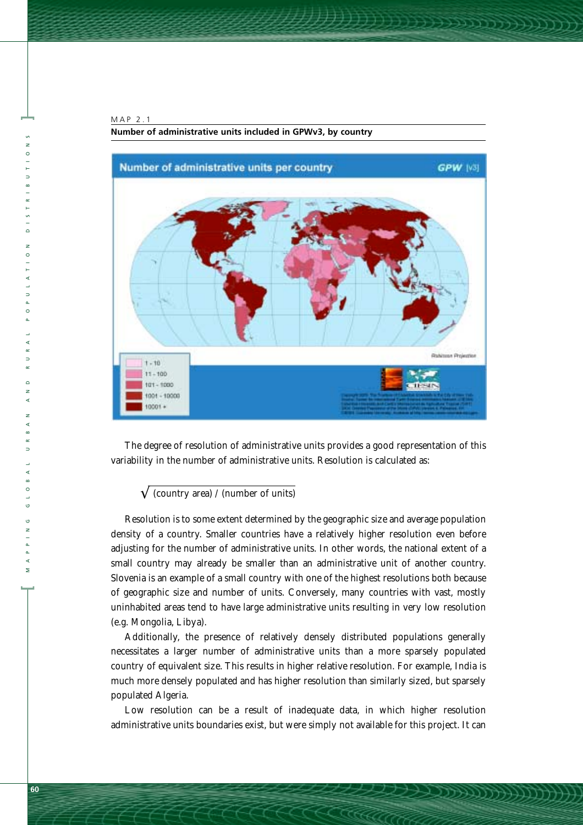



The degree of resolution of administrative units provides a good representation of this variability in the number of administrative units. Resolution is calculated as:

#### $\sqrt{\frac{2}{\pi}}$  (country area) / (number of units)

Resolution is to some extent determined by the geographic size and average population density of a country. Smaller countries have a relatively higher resolution even before adjusting for the number of administrative units. In other words, the national extent of a small country may already be smaller than an administrative unit of another country. Slovenia is an example of a small country with one of the highest resolutions both because of geographic size and number of units. Conversely, many countries with vast, mostly uninhabited areas tend to have large administrative units resulting in very low resolution (e.g. Mongolia, Libya).

Additionally, the presence of relatively densely distributed populations generally necessitates a larger number of administrative units than a more sparsely populated country of equivalent size. This results in higher relative resolution. For example, India is much more densely populated and has higher resolution than similarly sized, but sparsely populated Algeria.

Low resolution can be a result of inadequate data, in which higher resolution administrative units boundaries exist, but were simply not available for this project. It can

**[**

 $\overline{\mathbf{z}}$ 

**]**

 $\Rightarrow$ 

 $\circ$  $\overline{z}$  $\circ$ 

 $\triangleleft$  $\Rightarrow$  $\circ$ 

MAPPING GLOBAL URBAN AND RURAL POPULATION DISTRIBUTIONS

 $\Rightarrow$ 

 $\circ$ 

 $\overline{z}$ 

 $\triangleleft$ 

 $\overline{z}$  $\triangleleft$  $\propto$  $\overline{a}$ 

 $\circ$ . o,  $\overline{z}$ 

 $\prec$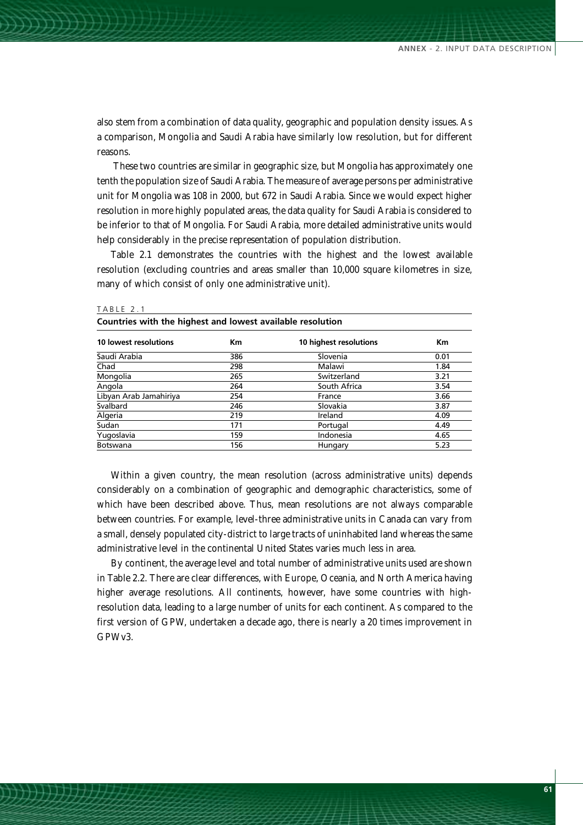also stem from a combination of data quality, geographic and population density issues. As a comparison, Mongolia and Saudi Arabia have similarly low resolution, but for different reasons.

These two countries are similar in geographic size, but Mongolia has approximately one tenth the population size of Saudi Arabia. The measure of average persons per administrative unit for Mongolia was 108 in 2000, but 672 in Saudi Arabia. Since we would expect higher resolution in more highly populated areas, the data quality for Saudi Arabia is considered to be inferior to that of Mongolia. For Saudi Arabia, more detailed administrative units would help considerably in the precise representation of population distribution.

Table 2.1 demonstrates the countries with the highest and the lowest available resolution (excluding countries and areas smaller than 10,000 square kilometres in size, many of which consist of only one administrative unit).

**Countries with the highest and lowest available resolution**

| 10 lowest resolutions  | Кm  | 10 highest resolutions | Km   |  |
|------------------------|-----|------------------------|------|--|
| Saudi Arabia           | 386 | Slovenia               | 0.01 |  |
| Chad                   | 298 | Malawi                 | 1.84 |  |
| Mongolia               | 265 | Switzerland            | 3.21 |  |
| Angola                 | 264 | South Africa           | 3.54 |  |
| Libyan Arab Jamahiriya | 254 | France                 | 3.66 |  |
| Svalbard               | 246 | Slovakia               | 3.87 |  |
| Algeria                | 219 | Ireland                | 4.09 |  |
| Sudan                  | 171 | Portugal               | 4.49 |  |
| Yugoslavia             | 159 | Indonesia              | 4.65 |  |
| Botswana               | 156 | Hungary                | 5.23 |  |
|                        |     |                        |      |  |

TABLE 2.1

Within a given country, the mean resolution (across administrative units) depends considerably on a combination of geographic and demographic characteristics, some of which have been described above. Thus, mean resolutions are not always comparable between countries. For example, level-three administrative units in Canada can vary from a small, densely populated city-district to large tracts of uninhabited land whereas the same administrative level in the continental United States varies much less in area.

By continent, the average level and total number of administrative units used are shown in Table 2.2. There are clear differences, with Europe, Oceania, and North America having higher average resolutions. All continents, however, have some countries with highresolution data, leading to a large number of units for each continent. As compared to the first version of GPW, undertaken a decade ago, there is nearly a 20 times improvement in GPWv3.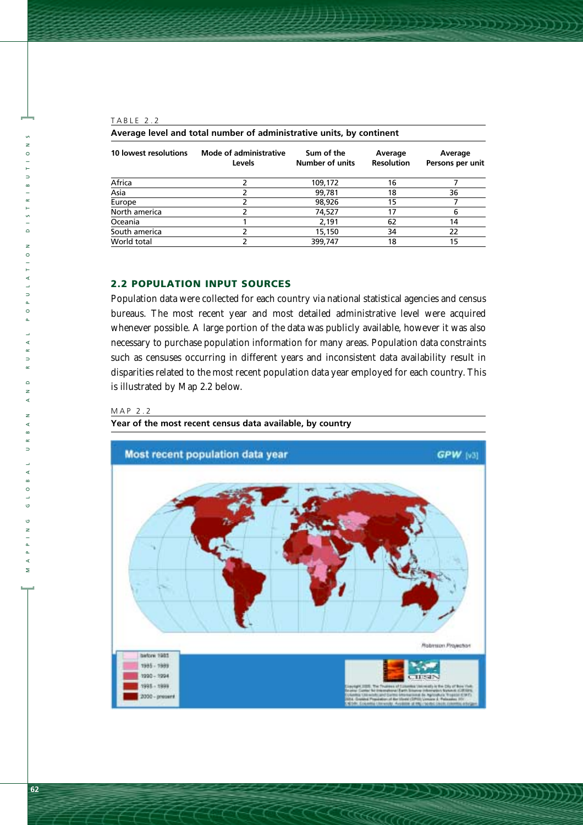#### TABLE 2.2

**]**

 $\overline{z}$  $\circ$ 

 $\Rightarrow$  $\frac{8}{1}$  $\ddot{a}$  $\frac{5}{1}$  $\overline{\phantom{a}}$  $\overline{z}$  $\circ$  $\overline{a}$  $\vdash$  $\triangleleft$  $\overline{a}$  $\Rightarrow$  $\overline{a}$  $\circ$  $\Delta$ L.  $\prec$  $\alpha$  $\Rightarrow$  $\alpha$  $\overline{a}$  $\overline{z}$  $\triangleleft$  $\overline{z}$  $\prec$  $\omega$  $\simeq$  $\Rightarrow$ 

MAPPING GLOBAL URBAN AND RURAL POPULATION DISTRIBUTIONS

| Average level and total number of administrative units, by continent |                                                |                               |                              |                             |  |  |
|----------------------------------------------------------------------|------------------------------------------------|-------------------------------|------------------------------|-----------------------------|--|--|
| 10 lowest resolutions                                                | <b>Mode of administrative</b><br><b>Levels</b> | Sum of the<br>Number of units | Average<br><b>Resolution</b> | Average<br>Persons per unit |  |  |
| Africa                                                               |                                                | 109,172                       | 16                           |                             |  |  |
| Asia                                                                 |                                                | 99,781                        | 18                           | 36                          |  |  |
| Europe                                                               |                                                | 98,926                        | 15                           |                             |  |  |
| North america                                                        |                                                | 74,527                        | 17                           | 6                           |  |  |
| Oceania                                                              |                                                | 2.191                         | 62                           | 14                          |  |  |
| South america                                                        |                                                | 15,150                        | 34                           | 22                          |  |  |
| World total                                                          |                                                | 399,747                       | 18                           | 15                          |  |  |

#### **2.2 POPULATION INPUT SOURCES**

Population data were collected for each country via national statistical agencies and census bureaus. The most recent year and most detailed administrative level were acquired whenever possible. A large portion of the data was publicly available, however it was also necessary to purchase population information for many areas. Population data constraints such as censuses occurring in different years and inconsistent data availability result in disparities related to the most recent population data year employed for each country. This is illustrated by Map 2.2 below.

#### MAP 2.2

**Year of the most recent census data available, by country**



**[**

Σ

 $\triangleleft$  $\alpha$  $\circ$  $\circ$  $\circ$  $\overline{z}$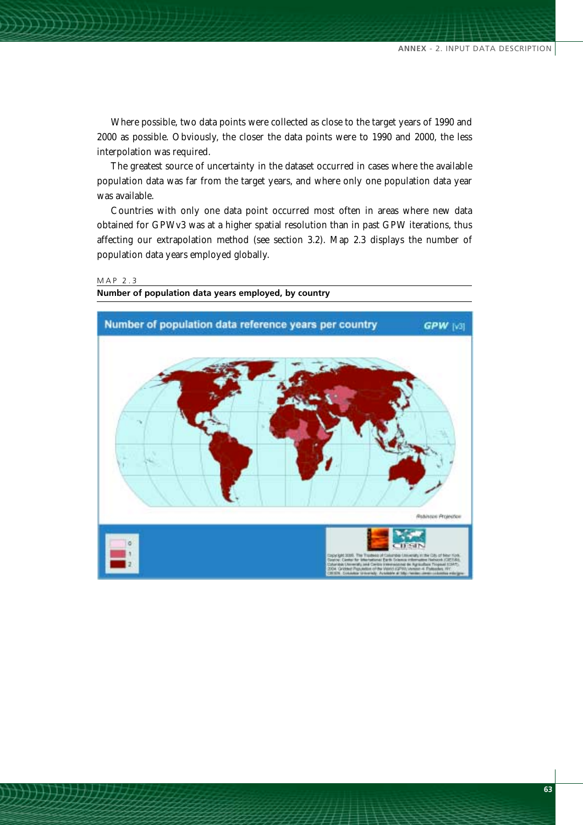Where possible, two data points were collected as close to the target years of 1990 and 2000 as possible. Obviously, the closer the data points were to 1990 and 2000, the less interpolation was required.

The greatest source of uncertainty in the dataset occurred in cases where the available population data was far from the target years, and where only one population data year was available.

Countries with only one data point occurred most often in areas where new data obtained for GPWv3 was at a higher spatial resolution than in past GPW iterations, thus affecting our extrapolation method (see section 3.2). Map 2.3 displays the number of population data years employed globally.

#### MAP 2.3



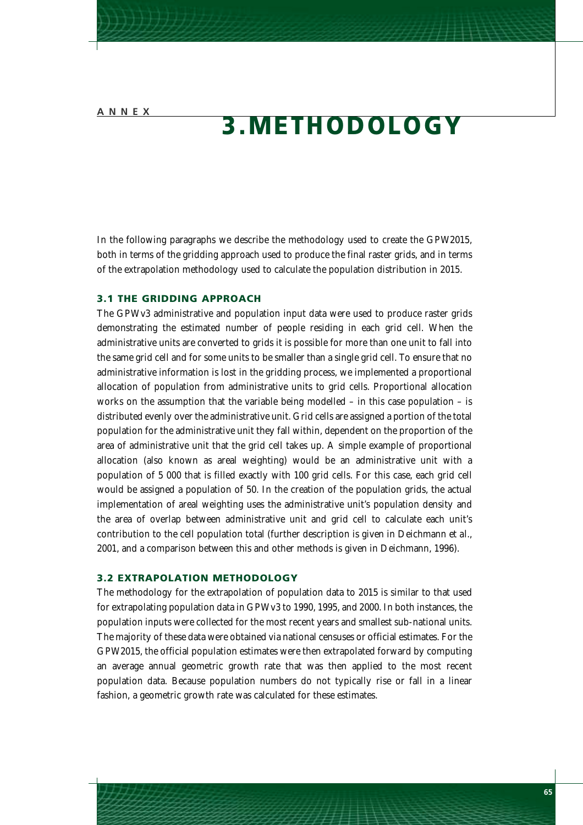## **3.METHODOLOGY**

In the following paragraphs we describe the methodology used to create the *GPW2015*, both in terms of the gridding approach used to produce the final raster grids, and in terms of the extrapolation methodology used to calculate the population distribution in 2015.

#### **3.1 THE GRIDDING APPROACH**

The GPWv3 administrative and population input data were used to produce raster grids demonstrating the estimated number of people residing in each grid cell. When the administrative units are converted to grids it is possible for more than one unit to fall into the same grid cell and for some units to be smaller than a single grid cell. To ensure that no administrative information is lost in the gridding process, we implemented a proportional allocation of population from administrative units to grid cells. Proportional allocation works on the assumption that the variable being modelled – in this case population – is distributed evenly over the administrative unit. Grid cells are assigned a portion of the total population for the administrative unit they fall within, dependent on the proportion of the area of administrative unit that the grid cell takes up. A simple example of proportional allocation (also known as areal weighting) would be an administrative unit with a population of 5 000 that is filled exactly with 100 grid cells. For this case, each grid cell would be assigned a population of 50. In the creation of the population grids, the actual implementation of areal weighting uses the administrative unit's population density and the area of overlap between administrative unit and grid cell to calculate each unit's contribution to the cell population total (further description is given in Deichmann *et al.*, 2001, and a comparison between this and other methods is given in Deichmann, 1996).

#### **3.2 EXTRAPOLATION METHODOLOGY**

The methodology for the extrapolation of population data to 2015 is similar to that used for extrapolating population data in GPWv3 to 1990, 1995, and 2000. In both instances, the population inputs were collected for the most recent years and smallest sub-national units. The majority of these data were obtained via national censuses or official estimates. For the *GPW2015*, the official population estimates were then extrapolated forward by computing an average annual geometric growth rate that was then applied to the most recent population data. Because population numbers do not typically rise or fall in a linear fashion, a geometric growth rate was calculated for these estimates.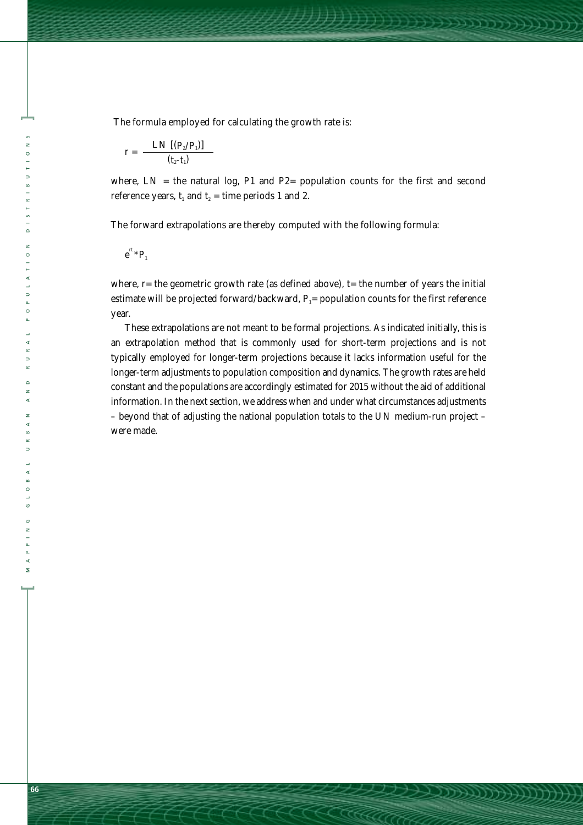The formula employed for calculating the growth rate is:

$$
r = \frac{LN\left[\left(P_{2}/P_{1}\right)\right]}{(t_{2}-t_{1})}
$$

where,  $LN =$  the natural log, P1 and P2= population counts for the first and second reference years,  $t_1$  and  $t_2$  = time periods 1 and 2.

Hilder Company

The forward extrapolations are thereby computed with the following formula:

$$
e^{rt} \, {}^*P_1
$$

**]**

 $\circ$ 

 $\Rightarrow$  $\frac{8}{1}$ 

 $\frac{5}{2}$  $\overline{a}$  $\overline{z}$  $\circ$ L.  $\triangleleft$  $\Rightarrow$  $\overline{a}$  $\circ$ 

MAPPING GLOBAL URBAN AND RURAL POPULATION DISTRIBUTIONS

L.  $\triangleleft$  $\alpha$  $\Rightarrow$  $\alpha$  $\overline{a}$  $\overline{z}$  $\triangleleft$  $\overline{z}$  $\triangleleft$  $\omega$  $\propto$  $\overline{a}$ 

where,  $r=$  the geometric growth rate (as defined above),  $t=$  the number of years the initial estimate will be projected forward/backward,  $P_1$ = population counts for the first reference year.

These extrapolations are not meant to be formal projections. As indicated initially, this is an extrapolation method that is commonly used for short-term projections and is not typically employed for longer-term projections because it lacks information useful for the longer-term adjustments to population composition and dynamics. The growth rates are held constant and the populations are accordingly estimated for 2015 without the aid of additional information. In the next section, we address when and under what circumstances adjustments – beyond that of adjusting the national population totals to the UN medium-run project – were made.

**[**

 $\mathsf{\Sigma}$ 

 $\triangleleft$  $\circ$ .  $\circ$  $\overline{z}$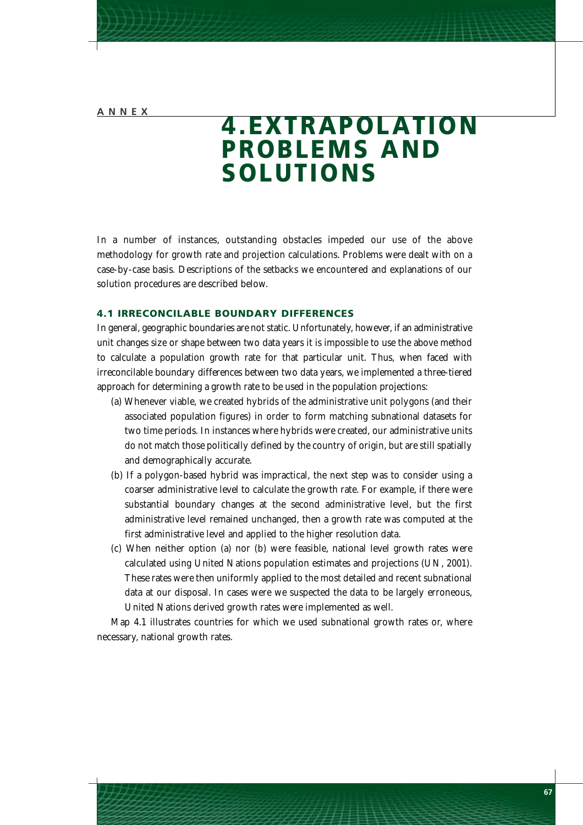### **4.EXTRAPOLATION PROBLEMS AND SOLUTIONS**

In a number of instances, outstanding obstacles impeded our use of the above methodology for growth rate and projection calculations. Problems were dealt with on a case-by-case basis. Descriptions of the setbacks we encountered and explanations of our solution procedures are described below.

#### **4.1 IRRECONCILABLE BOUNDARY DIFFERENCES**

In general, geographic boundaries are not static. Unfortunately, however, if an administrative unit changes size or shape between two data years it is impossible to use the above method to calculate a population growth rate for that particular unit. Thus, when faced with irreconcilable boundary differences between two data years, we implemented a three-tiered approach for determining a growth rate to be used in the population projections:

- (a) Whenever viable, we created hybrids of the administrative unit polygons (and their associated population figures) in order to form matching subnational datasets for two time periods. In instances where hybrids were created, our administrative units do not match those politically defined by the country of origin, but are still spatially and demographically accurate.
- (b) If a polygon-based hybrid was impractical, the next step was to consider using a coarser administrative level to calculate the growth rate. For example, if there were substantial boundary changes at the second administrative level, but the first administrative level remained unchanged, then a growth rate was computed at the first administrative level and applied to the higher resolution data.
- (c) When neither option (a) nor (b) were feasible, national level growth rates were calculated using United Nations population estimates and projections (UN, 2001). These rates were then uniformly applied to the most detailed and recent subnational data at our disposal. In cases were we suspected the data to be largely erroneous, United Nations derived growth rates were implemented as well.

Map 4.1 illustrates countries for which we used subnational growth rates or, where necessary, national growth rates.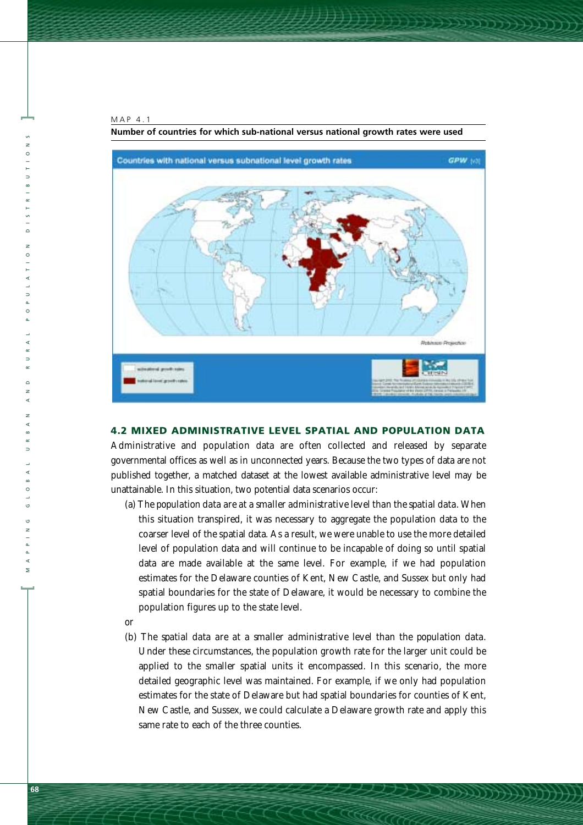

**]**

 $\Rightarrow$ 

 $\overline{a}$  $\overline{z}$  $\circ$ 

 $\Rightarrow$  $\circ$ 

MAPPING GLOBAL URBAN AND RURAL POPULATION DISTRIBUTIONS

 $\circ$  $\overline{z}$ k

 $\Rightarrow$ 

 $\circ$ ಀ o, z

∢  $\Rightarrow$ 



**Number of countries for which sub-national versus national growth rates were used**

#### **4.2 MIXED ADMINISTRATIVE LEVEL SPATIAL AND POPULATION DATA**

Administrative and population data are often collected and released by separate governmental offices as well as in unconnected years. Because the two types of data are not published together, a matched dataset at the lowest available administrative level may be unattainable. In this situation, two potential data scenarios occur:

- (a) *The population data are at a smaller administrative level than the spatial data*. When this situation transpired, it was necessary to aggregate the population data to the coarser level of the spatial data. As a result, we were unable to use the more detailed level of population data and will continue to be incapable of doing so until spatial data are made available at the same level. For example, if we had population estimates for the Delaware counties of Kent, New Castle, and Sussex but only had spatial boundaries for the state of Delaware, it would be necessary to combine the population figures up to the state level.
- *or*
- (b) *The spatial data are at a smaller administrative level than the population data*. Under these circumstances, the population growth rate for the larger unit could be applied to the smaller spatial units it encompassed. In this scenario, the more detailed geographic level was maintained. For example, if we only had population estimates for the state of Delaware but had spatial boundaries for counties of Kent, New Castle, and Sussex, we could calculate a Delaware growth rate and apply this same rate to each of the three counties.

**[**

 $\overline{\mathbf{z}}$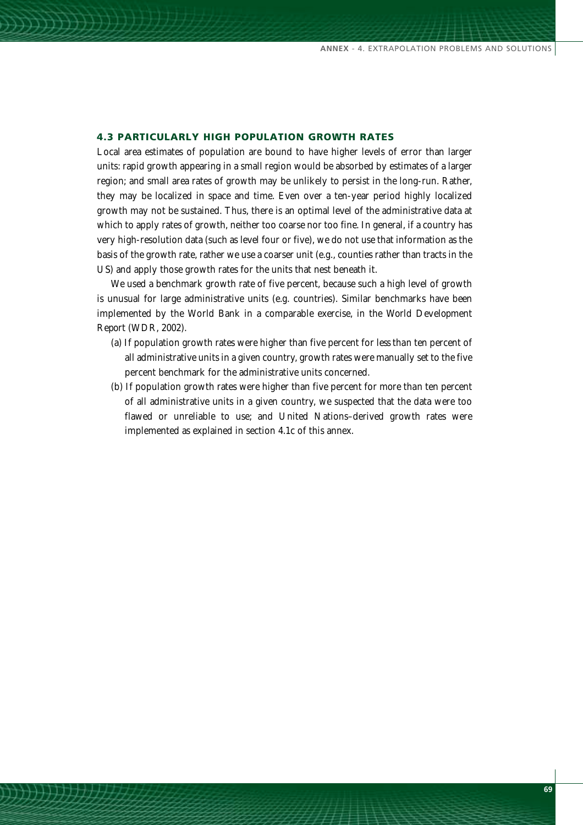#### **4.3 PARTICULARLY HIGH POPULATION GROWTH RATES**

Local area estimates of population are bound to have higher levels of error than larger units: rapid growth appearing in a small region would be absorbed by estimates of a larger region; and small area rates of growth may be unlikely to persist in the long-run. Rather, they may be localized in space and time. Even over a ten-year period highly localized growth may not be sustained. Thus, there is an optimal level of the administrative data at which to apply rates of growth, neither too coarse nor too fine. In general, if a country has very high-resolution data (such as level four or five), we do not use that information as the basis of the growth rate, rather we use a coarser unit (e.g., counties rather than tracts in the US) and apply those growth rates for the units that nest beneath it.

We used a benchmark growth rate of five percent, because such a high level of growth is unusual for large administrative units (e.g. countries). Similar benchmarks have been implemented by the World Bank in a comparable exercise, in the *World Development Report* (WDR, 2002).

- (a) If population growth rates were higher than five percent for *less than* ten percent of all administrative units in a given country, growth rates were manually set to the five percent benchmark for the administrative units concerned.
- (b) If population growth rates were higher than five percent for *more than* ten percent of all administrative units in a given country, we suspected that the data were too flawed or unreliable to use; and United Nations–derived growth rates were implemented as explained in section 4.1c of this annex.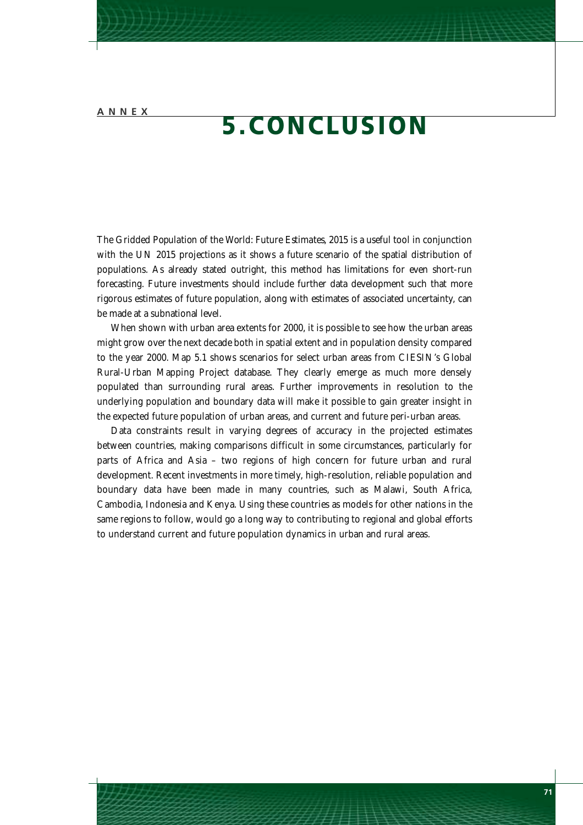## **5.CONCLUSION**

The *Gridded Population of the World: Future Estimates, 2015* is a useful tool in conjunction with the UN 2015 projections as it shows a future scenario of the spatial distribution of populations. As already stated outright, this method has limitations for even short-run forecasting. Future investments should include further data development such that more rigorous estimates of future population, along with estimates of associated uncertainty, can be made at a subnational level.

When shown with urban area extents for 2000, it is possible to see how the urban areas might grow over the next decade both in spatial extent and in population density compared to the year 2000. Map 5.1 shows scenarios for select urban areas from CIESIN's Global Rural-Urban Mapping Project database. They clearly emerge as much more densely populated than surrounding rural areas. Further improvements in resolution to the underlying population and boundary data will make it possible to gain greater insight in the expected future population of urban areas, and current and future peri-urban areas.

Data constraints result in varying degrees of accuracy in the projected estimates between countries, making comparisons difficult in some circumstances, particularly for parts of Africa and Asia – two regions of high concern for future urban and rural development. Recent investments in more timely, high-resolution, reliable population and boundary data have been made in many countries, such as Malawi, South Africa, Cambodia, Indonesia and Kenya. Using these countries as models for other nations in the same regions to follow, would go a long way to contributing to regional and global efforts to understand current and future population dynamics in urban and rural areas.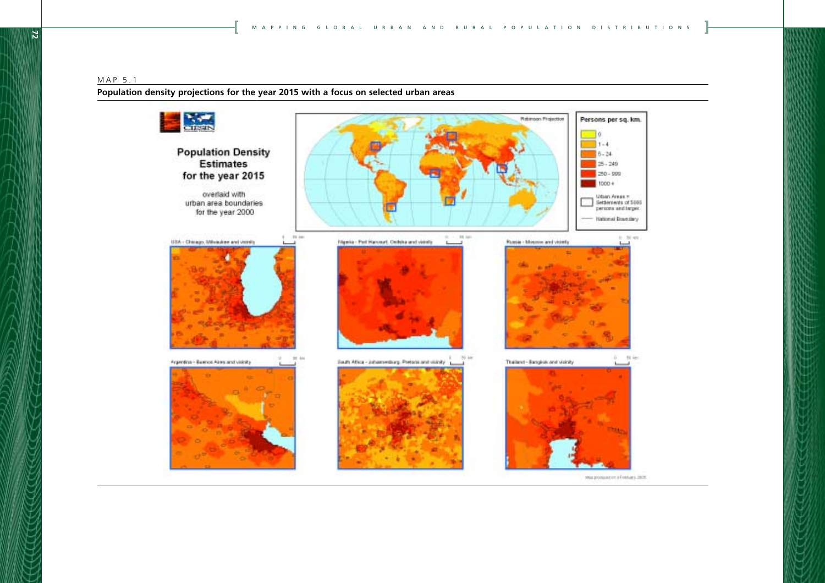#### MAP 5.1

**Population density projections for the year 2015 with a focus on selected urban areas**

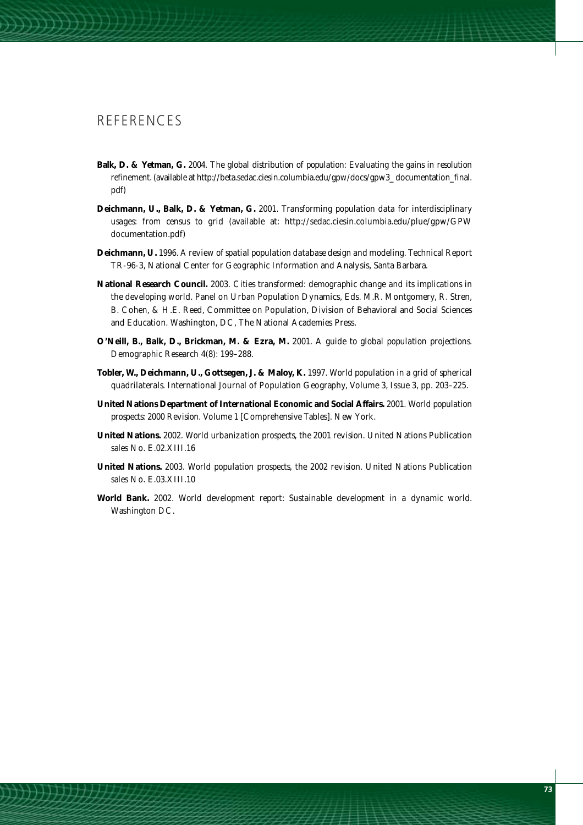#### **REFERENCES**

- **Balk, D. & Yetman, G.** 2004. *The global distribution of population: Evaluating the gains in resolution refinement*. (available at http://beta.sedac.ciesin.columbia.edu/gpw/docs/gpw3\_ documentation\_final. pdf)
- **Deichmann, U., Balk, D. & Yetman, G.** 2001. *Transforming population data for interdisciplinary usages: from census to grid* (available at: http://sedac.ciesin.columbia.edu/plue/gpw/GPW documentation.pdf)
- **Deichmann, U.** 1996. *A review of spatial population database design and modeling*. Technical Report TR-96-3, National Center for Geographic Information and Analysis, Santa Barbara.
- **National Research Council.** 2003. *Cities transformed: demographic change and its implications in the developing world*. Panel on Urban Population Dynamics, Eds. M.R. Montgomery, R. Stren, B. Cohen, & H.E. Reed, Committee on Population, Division of Behavioral and Social Sciences and Education. Washington, DC, The National Academies Press.
- **O'Neill, B., Balk, D., Brickman, M. & Ezra, M.** 2001. *A guide to global population projections*. Demographic Research 4(8): 199–288.
- **Tobler, W., Deichmann, U., Gottsegen, J. & Maloy, K.** 1997. *World population in a grid of spherical quadrilaterals*. International Journal of Population Geography, Volume 3, Issue 3, pp. 203–225.
- **United Nations Department of International Economic and Social Affairs.** 2001. *World population prospects: 2000 Revision*. Volume 1 [Comprehensive Tables]. New York.
- **United Nations.** 2002. *World urbanization prospects, the 2001 revision*. United Nations Publication sales No. E.02.XIII.16
- **United Nations.** 2003. *World population prospects, the 2002 revision*. United Nations Publication sales No. E.03.XIII.10
- **World Bank.** 2002. *World development report: Sustainable development in a dynamic world*. Washington DC.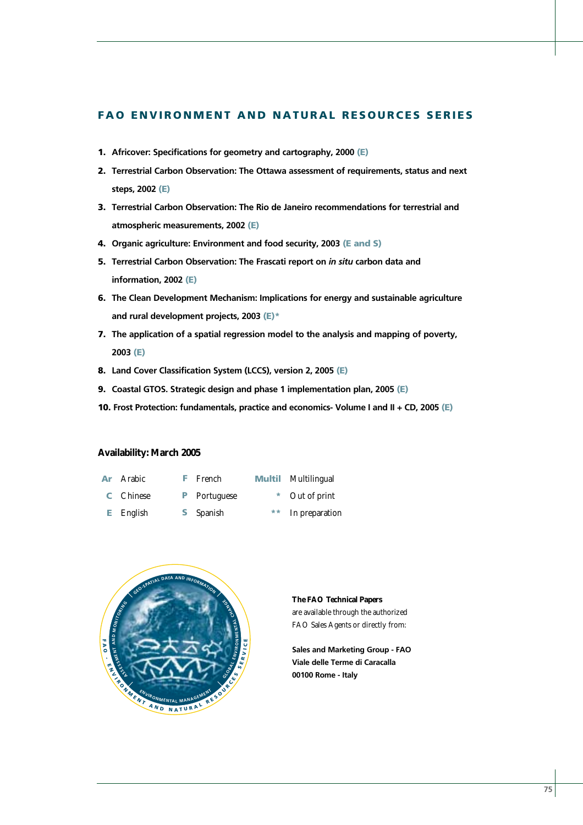#### **FAO ENVIRONMENT AND NATURAL RESOURCES SERIES**

- **1. Africover: Specifications for geometry and cartography, 2000 (E)**
- **2. Terrestrial Carbon Observation: The Ottawa assessment of requirements, status and next steps, 2002 (E)**
- **3. Terrestrial Carbon Observation: The Rio de Janeiro recommendations for terrestrial and atmospheric measurements, 2002 (E)**
- **4. Organic agriculture: Environment and food security, 2003 (E and S)**
- **5. Terrestrial Carbon Observation: The Frascati report on** *in situ* **carbon data and information, 2002 (E)**
- **6. The Clean Development Mechanism: Implications for energy and sustainable agriculture and rural development projects, 2003 (E)\***
- **7. The application of a spatial regression model to the analysis and mapping of poverty, 2003 (E)**
- **8. Land Cover Classification System (LCCS), version 2, 2005 (E)**
- **9. Coastal GTOS. Strategic design and phase 1 implementation plan, 2005 (E)**
- **10. Frost Protection: fundamentals, practice and economics- Volume I and II + CD, 2005 (E)**

#### **Availability: March 2005**

| <b>Ar</b> | Arabic      | <b>F</b> French     | <b>Multil</b> Multilingual |
|-----------|-------------|---------------------|----------------------------|
|           | C Chinese   | <b>P</b> Portuguese | * Out of print             |
|           | $E$ English | <b>S</b> Spanish    | ** In preparation          |



**The FAO Technical Papers** are available through the authorized FAO Sales Agents or directly from:

**Sales and Marketing Group - FAO Viale delle Terme di Caracalla 00100 Rome - Italy**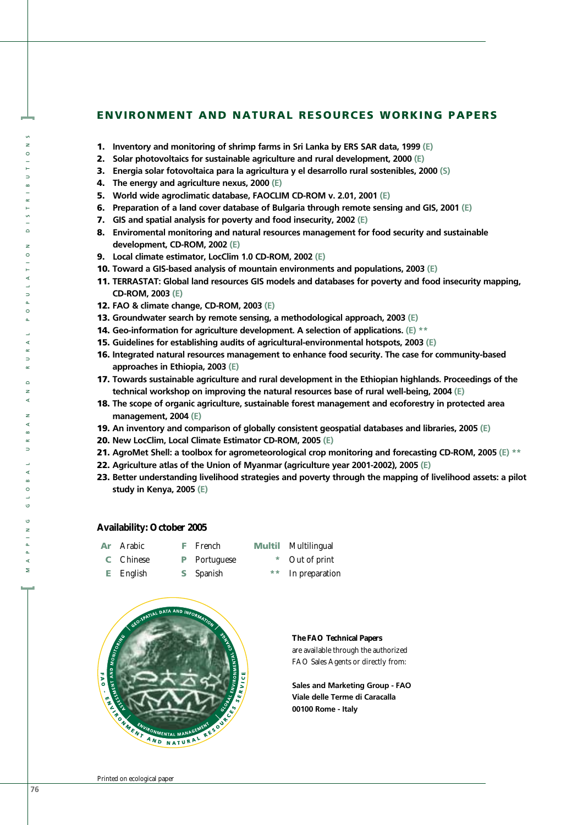#### **ENVIRONMENT AND NATURAL RESOURCES WORKING PAPERS**

- **1. Inventory and monitoring of shrimp farms in Sri Lanka by ERS SAR data, 1999 (E)**
- **2. Solar photovoltaics for sustainable agriculture and rural development, 2000 (E)**
- **3. Energia solar fotovoltaica para la agricultura y el desarrollo rural sostenibles, 2000 (S)**
- **4. The energy and agriculture nexus, 2000 (E)**
- **5. World wide agroclimatic database, FAOCLIM CD-ROM v. 2.01, 2001 (E)**
- **6. Preparation of a land cover database of Bulgaria through remote sensing and GIS, 2001 (E)**
- **7. GIS and spatial analysis for poverty and food insecurity, 2002 (E)**
- **8. Enviromental monitoring and natural resources management for food security and sustainable development, CD-ROM, 2002 (E)**
- **9. Local climate estimator, LocClim 1.0 CD-ROM, 2002 (E)**
- **10. Toward a GIS-based analysis of mountain environments and populations, 2003 (E)**
- **11. TERRASTAT: Global land resources GIS models and databases for poverty and food insecurity mapping, CD-ROM, 2003 (E)**
- **12. FAO & climate change, CD-ROM, 2003 (E)**
- **13. Groundwater search by remote sensing, a methodological approach, 2003 (E)**
- **14. Geo-information for agriculture development. A selection of applications. (E) \*\***
- **15. Guidelines for establishing audits of agricultural-environmental hotspots, 2003 (E)**
- **16. Integrated natural resources management to enhance food security. The case for community-based approaches in Ethiopia, 2003 (E)**
- **17. Towards sustainable agriculture and rural development in the Ethiopian highlands. Proceedings of the technical workshop on improving the natural resources base of rural well-being, 2004 (E)**
- **18. The scope of organic agriculture, sustainable forest management and ecoforestry in protected area management, 2004 (E)**
- **19. An inventory and comparison of globally consistent geospatial databases and libraries, 2005 (E)**
- **20. New LocClim, Local Climate Estimator CD-ROM, 2005 (E)**
- **21. AgroMet Shell: a toolbox for agrometeorological crop monitoring and forecasting CD-ROM, 2005 (E) \*\***
- **22. Agriculture atlas of the Union of Myanmar (agriculture year 2001-2002), 2005 (E)**
- **23. Better understanding livelihood strategies and poverty through the mapping of livelihood assets: a pilot study in Kenya, 2005 (E)**

#### **Availability: October 2005**

| Ar | Arabic    | <b>F</b> French     | <b>Multil</b> Multilingual |
|----|-----------|---------------------|----------------------------|
|    | C Chinese | <b>P</b> Portuguese | * Out of print             |
|    | E English | <b>S</b> Spanish    | ** In preparation          |



**The FAO Technical Papers** are available through the authorized FAO Sales Agents or directly from:

**Sales and Marketing Group - FAO Viale delle Terme di Caracalla 00100 Rome - Italy**

**]**

 $\Rightarrow$ 

 $\circ$  $\overline{z}$  $\circ$ 

 $\Rightarrow$  $\circ$ 

MAPPING GLOBAL URBAN AND RURAL POPULATION DISTRIBUTIONS **[**<br>**MAPPING GLOBAL URBAN AND RURAL POPULATION DISTRIBUTIONS** 

 $\circ$  $\overline{z}$ k

 $\Rightarrow$ 

 $\circ$ 

o,  $\overline{z}$ 

**d**  $\overline{a}$